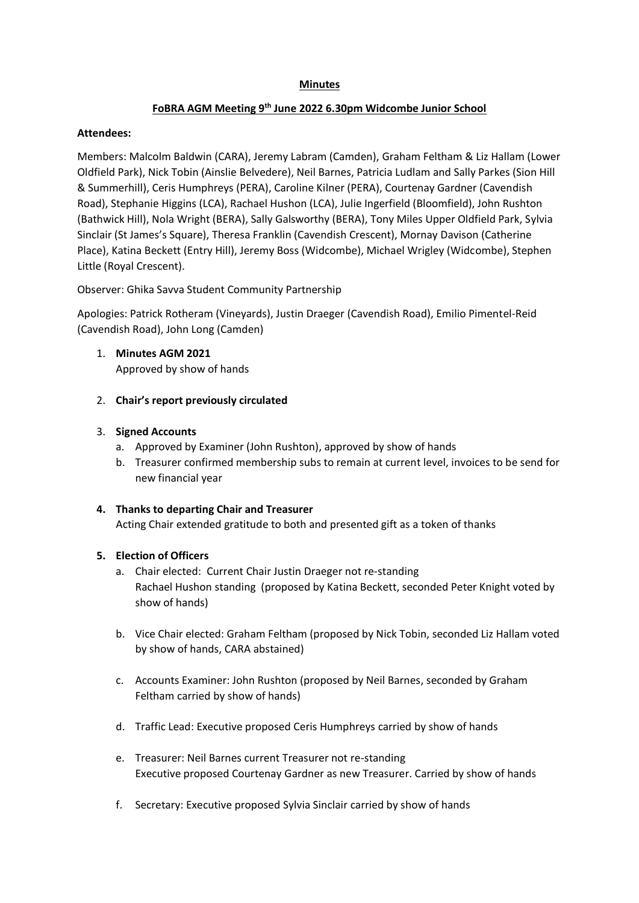#### **Minutes**

# **FoBRA AGM Meeting 9th June 2022 6.30pm Widcombe Junior School**

#### **Attendees:**

Members: Malcolm Baldwin (CARA), Jeremy Labram (Camden), Graham Feltham & Liz Hallam (Lower Oldfield Park), Nick Tobin (Ainslie Belvedere), Neil Barnes, Patricia Ludlam and Sally Parkes (Sion Hill & Summerhill), Ceris Humphreys (PERA), Caroline Kilner (PERA), Courtenay Gardner (Cavendish Road), Stephanie Higgins (LCA), Rachael Hushon (LCA), Julie Ingerfield (Bloomfield), John Rushton (Bathwick Hill), Nola Wright (BERA), Sally Galsworthy (BERA), Tony Miles Upper Oldfield Park, Sylvia Sinclair (St James's Square), Theresa Franklin (Cavendish Crescent), Mornay Davison (Catherine Place), Katina Beckett (Entry Hill), Jeremy Boss (Widcombe), Michael Wrigley (Widcombe), Stephen Little (Royal Crescent).

Observer: Ghika Savva Student Community Partnership

Apologies: Patrick Rotheram (Vineyards), Justin Draeger (Cavendish Road), Emilio Pimentel-Reid (Cavendish Road), John Long (Camden)

- 1. **Minutes AGM 2021**  Approved by show of hands
- 2. **Chair's report previously circulated**

### 3. **Signed Accounts**

- a. Approved by Examiner (John Rushton), approved by show of hands
- b. Treasurer confirmed membership subs to remain at current level, invoices to be send for new financial year

#### **4. Thanks to departing Chair and Treasurer**

Acting Chair extended gratitude to both and presented gift as a token of thanks

#### **5. Election of Officers**

- a. Chair elected: Current Chair Justin Draeger not re-standing Rachael Hushon standing (proposed by Katina Beckett, seconded Peter Knight voted by show of hands)
- b. Vice Chair elected: Graham Feltham (proposed by Nick Tobin, seconded Liz Hallam voted by show of hands, CARA abstained)
- c. Accounts Examiner: John Rushton (proposed by Neil Barnes, seconded by Graham Feltham carried by show of hands)
- d. Traffic Lead: Executive proposed Ceris Humphreys carried by show of hands
- e. Treasurer: Neil Barnes current Treasurer not re-standing Executive proposed Courtenay Gardner as new Treasurer. Carried by show of hands
- f. Secretary: Executive proposed Sylvia Sinclair carried by show of hands